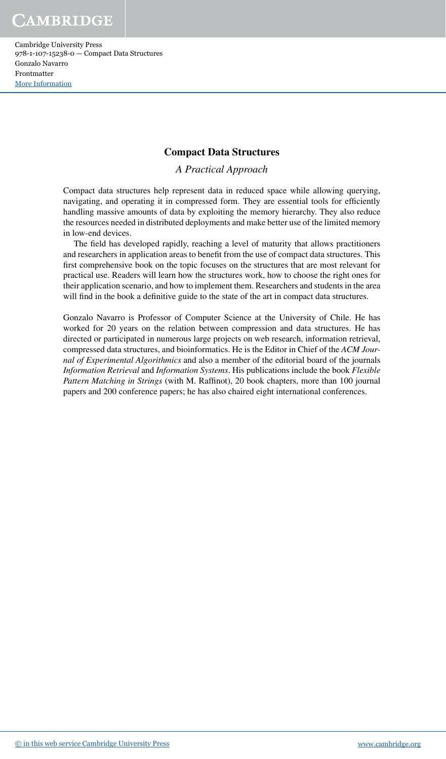Cambridge University Press 978-1-107-15238-0 — Compact Data Structures Gonzalo Navarro Frontmatter [More Information](www.cambridge.org/9781107152380)

### **Compact Data Structures**

*A Practical Approach*

Compact data structures help represent data in reduced space while allowing querying, navigating, and operating it in compressed form. They are essential tools for eficiently handling massive amounts of data by exploiting the memory hierarchy. They also reduce the resources needed in distributed deployments and make better use of the limited memory in low-end devices.

The field has developed rapidly, reaching a level of maturity that allows practitioners and researchers in application areas to benefit from the use of compact data structures. This first comprehensive book on the topic focuses on the structures that are most relevant for practical use. Readers will learn how the structures work, how to choose the right ones for their application scenario, and how to implement them. Researchers and students in the area will find in the book a definitive guide to the state of the art in compact data structures.

Gonzalo Navarro is Professor of Computer Science at the University of Chile. He has worked for 20 years on the relation between compression and data structures. He has directed or participated in numerous large projects on web research, information retrieval, compressed data structures, and bioinformatics. He is the Editor in Chief of the *ACM Journal of Experimental Algorithmics* and also a member of the editorial board of the journals *Information Retrieval* and *Information Systems*. His publications include the book *Flexible Pattern Matching in Strings* (with M. Rafinot), 20 book chapters, more than 100 journal papers and 200 conference papers; he has also chaired eight international conferences.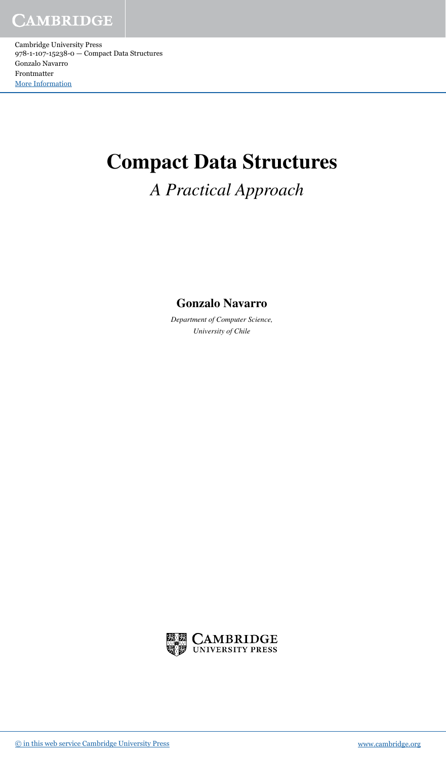# **Compact Data Structures**

### *A Practical Approach*

### **Gonzalo Navarro**

*Department of Computer Science, University of Chile*

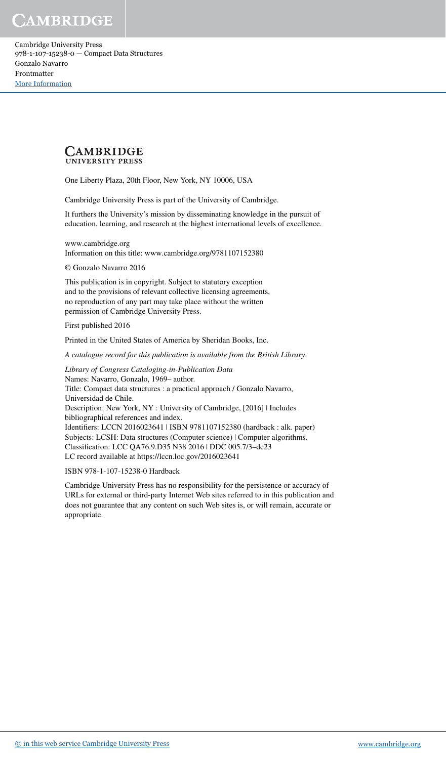Cambridge University Press 978-1-107-15238-0 — Compact Data Structures Gonzalo Navarro Frontmatter [More Information](www.cambridge.org/9781107152380)



One Liberty Plaza, 20th Floor, New York, NY 10006, USA

Cambridge University Press is part of the University of Cambridge.

It furthers the University's mission by disseminating knowledge in the pursuit of education, learning, and research at the highest international levels of excellence.

www.cambridge.org Information on this title: www.cambridge.org/9781107152380

© Gonzalo Navarro 2016

This publication is in copyright. Subject to statutory exception and to the provisions of relevant collective licensing agreements, no reproduction of any part may take place without the written permission of Cambridge University Press.

First published 2016

Printed in the United States of America by Sheridan Books, Inc.

A catalogue record for this publication is available from the British Library.

*Library of Congress Cataloging-in-Publication Data* Names: Navarro, Gonzalo, 1969– author. Title: Compact data structures : a practical approach / Gonzalo Navarro, Universidad de Chile. Description: New York, NY : University of Cambridge, [2016] | Includes bibliographical references and index. Identiiers: LCCN 2016023641 | ISBN 9781107152380 (hardback : alk. paper) Subjects: LCSH: Data structures (Computer science) | Computer algorithms. Classiication: LCC QA76.9.D35 N38 2016 | DDC 005.7/3–dc23 LC record available at https://lccn.loc.gov/2016023641

ISBN 978-1-107-15238-0 Hardback

Cambridge University Press has no responsibility for the persistence or accuracy of URLs for external or third-party Internet Web sites referred to in this publication and does not guarantee that any content on such Web sites is, or will remain, accurate or appropriate.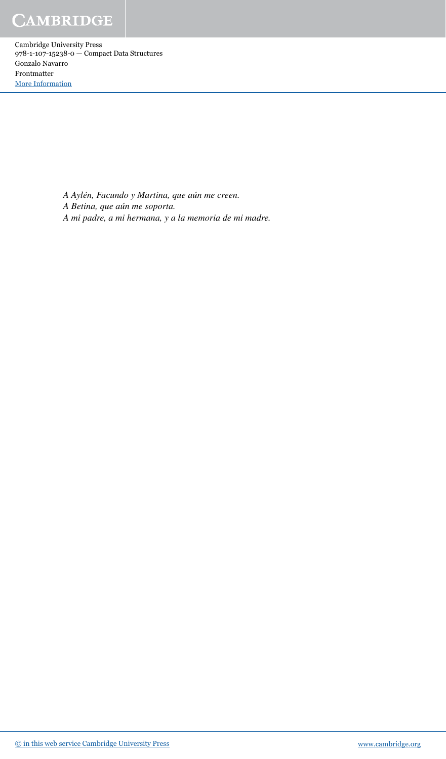> *A Aylén, Facundo y Martina, que aún me creen. A Betina, que aún me soporta.* A mi padre, a mi hermana, y a la memoria de mi madre.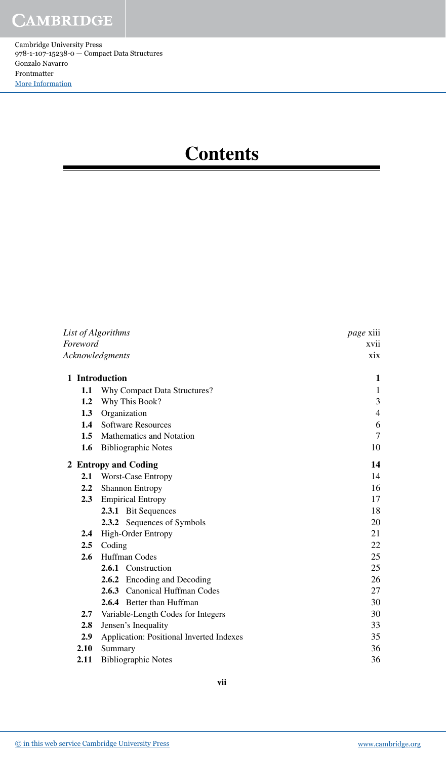## **Contents**

| List of Algorithms |                                          | <i>page</i> xiii |  |
|--------------------|------------------------------------------|------------------|--|
| Foreword           |                                          | xvii             |  |
|                    | Acknowledgments                          | xix              |  |
|                    | 1 Introduction                           | 1                |  |
| 1.1                | Why Compact Data Structures?             | $\mathbf{1}$     |  |
| 1.2                | Why This Book?                           | 3                |  |
| 1.3                | Organization                             | $\overline{4}$   |  |
| 1.4                | <b>Software Resources</b>                | 6                |  |
| 1.5                | <b>Mathematics and Notation</b>          | 7                |  |
| 1.6                | <b>Bibliographic Notes</b>               | 10               |  |
|                    | 2 Entropy and Coding                     | 14               |  |
| 2.1                | <b>Worst-Case Entropy</b>                | 14               |  |
| 2.2                | <b>Shannon Entropy</b>                   | 16               |  |
| 2.3                | <b>Empirical Entropy</b>                 | 17               |  |
|                    | 2.3.1 Bit Sequences                      | 18               |  |
|                    | 2.3.2 Sequences of Symbols               | 20               |  |
| 2.4                | High-Order Entropy                       | 21               |  |
| 2.5                | Coding                                   | 22               |  |
| 2.6                | Huffman Codes                            | 25               |  |
|                    | 2.6.1 Construction                       | 25               |  |
|                    | 2.6.2 Encoding and Decoding              | 26               |  |
|                    | 2.6.3 Canonical Huffman Codes            | 27               |  |
|                    | <b>2.6.4</b> Better than Huffman         | 30               |  |
| 2.7                | Variable-Length Codes for Integers       | 30               |  |
| 2.8                | Jensen's Inequality                      | 33               |  |
| 2.9                | Application: Positional Inverted Indexes | 35               |  |
| 2.10               | Summary                                  | 36               |  |
| 2.11               | <b>Bibliographic Notes</b>               |                  |  |

ī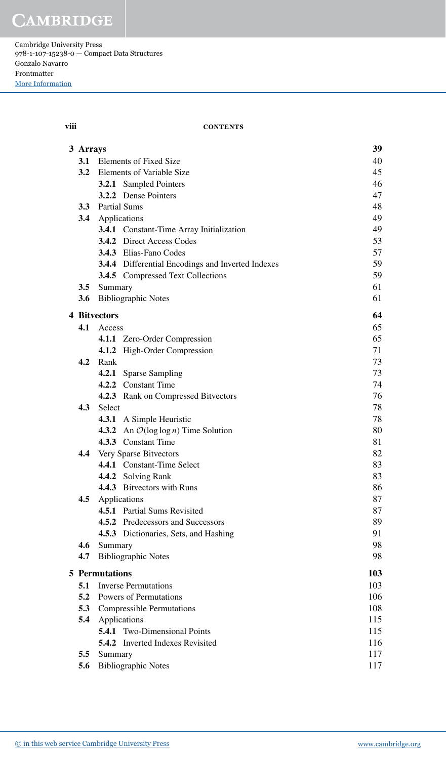Cambridge University Press 978-1-107-15238-0 — Compact Data Structures Gonzalo Navarro Frontmatter [More Information](www.cambridge.org/9781107152380)

#### **viii contents**

| 3 Arrays                             |                       |                                                          | 39  |
|--------------------------------------|-----------------------|----------------------------------------------------------|-----|
| 3.1                                  |                       | <b>Elements of Fixed Size</b>                            | 40  |
| <b>3.2</b> Elements of Variable Size |                       |                                                          | 45  |
|                                      |                       | <b>3.2.1</b> Sampled Pointers                            | 46  |
|                                      |                       | 3.2.2 Dense Pointers                                     | 47  |
|                                      | 3.3 Partial Sums      |                                                          | 48  |
|                                      | 3.4 Applications      |                                                          | 49  |
|                                      |                       | <b>3.4.1</b> Constant-Time Array Initialization          | 49  |
|                                      |                       | <b>3.4.2</b> Direct Access Codes                         | 53  |
|                                      |                       | 3.4.3 Elias-Fano Codes                                   | 57  |
|                                      |                       | 3.4.4 Differential Encodings and Inverted Indexes        | 59  |
|                                      |                       | <b>3.4.5</b> Compressed Text Collections                 | 59  |
|                                      | 3.5 Summary           |                                                          | 61  |
|                                      |                       | 3.6 Bibliographic Notes                                  | 61  |
|                                      | <b>4 Bitvectors</b>   |                                                          | 64  |
|                                      | 4.1 Access            |                                                          | 65  |
|                                      |                       | 4.1.1 Zero-Order Compression                             | 65  |
|                                      |                       | 4.1.2 High-Order Compression                             | 71  |
| 4.2                                  | Rank                  |                                                          | 73  |
|                                      |                       | 4.2.1 Sparse Sampling                                    | 73  |
|                                      |                       | 4.2.2 Constant Time                                      | 74  |
|                                      |                       | 4.2.3 Rank on Compressed Bitvectors                      | 76  |
| 4.3                                  | <b>Select</b>         |                                                          | 78  |
|                                      |                       | 4.3.1 A Simple Heuristic                                 | 78  |
|                                      |                       | <b>4.3.2</b> An $\mathcal{O}(\log \log n)$ Time Solution | 80  |
|                                      |                       | 4.3.3 Constant Time                                      | 81  |
|                                      |                       | 4.4 Very Sparse Bitvectors                               | 82  |
|                                      |                       | 4.4.1 Constant-Time Select                               | 83  |
|                                      |                       | 4.4.2 Solving Rank                                       | 83  |
|                                      |                       | 4.4.3 Bitvectors with Runs                               | 86  |
| 4.5                                  |                       | Applications                                             | 87  |
|                                      |                       | 4.5.1 Partial Sums Revisited                             | 87  |
|                                      |                       | <b>4.5.2</b> Predecessors and Successors                 | 89  |
|                                      |                       | 4.5.3 Dictionaries, Sets, and Hashing                    | 91  |
| 4.6                                  | Summary               |                                                          | 98  |
| 4.7                                  |                       | <b>Bibliographic Notes</b>                               | 98  |
|                                      | <b>5</b> Permutations |                                                          | 103 |
| 5.1                                  |                       | <b>Inverse Permutations</b>                              | 103 |
| 5.2                                  |                       | Powers of Permutations                                   | 106 |
| 5.3                                  |                       | <b>Compressible Permutations</b>                         | 108 |
| 5.4                                  |                       | Applications                                             | 115 |
|                                      |                       | <b>5.4.1</b> Two-Dimensional Points                      | 115 |
|                                      |                       | <b>5.4.2</b> Inverted Indexes Revisited                  | 116 |
| 5.5                                  | Summary               |                                                          | 117 |
| <b>Bibliographic Notes</b><br>5.6    |                       |                                                          | 117 |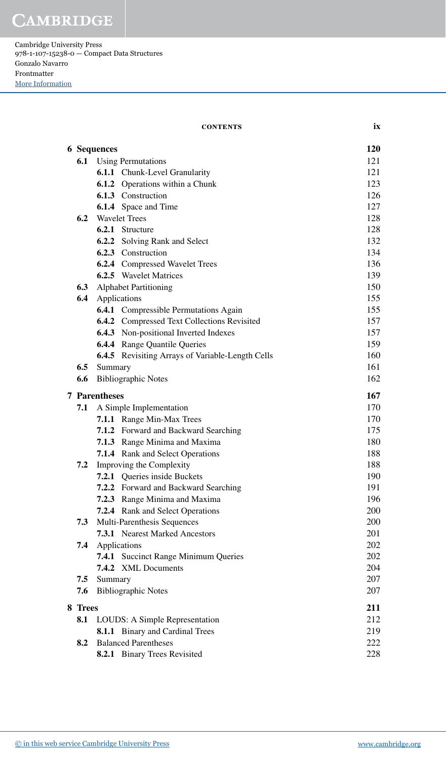Cambridge University Press 978-1-107-15238-0 — Compact Data Structures Gonzalo Navarro Frontmatter [More Information](www.cambridge.org/9781107152380)

#### **contents ix**

|         | <b>6</b> Sequences        |                                                    | 120        |
|---------|---------------------------|----------------------------------------------------|------------|
| 6.1     | <b>Using Permutations</b> |                                                    |            |
|         |                           | 6.1.1 Chunk-Level Granularity                      | 121<br>121 |
|         |                           | <b>6.1.2</b> Operations within a Chunk             | 123        |
|         |                           | 6.1.3 Construction                                 | 126        |
|         |                           | <b>6.1.4</b> Space and Time                        | 127        |
|         |                           | <b>6.2</b> Wavelet Trees                           | 128        |
|         |                           | 6.2.1 Structure                                    | 128        |
|         |                           | <b>6.2.2</b> Solving Rank and Select               | 132        |
|         |                           | 6.2.3 Construction                                 | 134        |
|         |                           | <b>6.2.4</b> Compressed Wavelet Trees              | 136        |
|         |                           | 6.2.5 Wavelet Matrices                             | 139        |
|         |                           | <b>6.3</b> Alphabet Partitioning                   | 150        |
| 6.4     |                           | Applications                                       | 155        |
|         |                           | <b>6.4.1</b> Compressible Permutations Again       | 155        |
|         |                           | <b>6.4.2</b> Compressed Text Collections Revisited | 157        |
|         |                           | <b>6.4.3</b> Non-positional Inverted Indexes       | 157        |
|         |                           | <b>6.4.4</b> Range Quantile Queries                | 159        |
|         |                           | 6.4.5 Revisiting Arrays of Variable-Length Cells   | 160        |
| 6.5     | Summary                   |                                                    | 161        |
| 6.6     |                           | <b>Bibliographic Notes</b>                         | 162        |
|         | <b>7</b> Parentheses      |                                                    | 167        |
| 7.1     |                           | A Simple Implementation                            | 170        |
|         |                           | 7.1.1 Range Min-Max Trees                          | 170        |
|         |                           | 7.1.2 Forward and Backward Searching               | 175        |
|         |                           | 7.1.3 Range Minima and Maxima                      | 180        |
|         |                           | 7.1.4 Rank and Select Operations                   | 188        |
| 7.2     |                           | Improving the Complexity                           | 188        |
|         |                           | 7.2.1 Queries inside Buckets                       | 190        |
|         |                           | 7.2.2 Forward and Backward Searching               | 191        |
|         |                           | 7.2.3 Range Minima and Maxima                      | 196        |
|         |                           | <b>7.2.4</b> Rank and Select Operations            | 200        |
| 7.3     |                           | Multi-Parenthesis Sequences                        | 200        |
|         |                           | 7.3.1 Nearest Marked Ancestors                     | 201        |
| 7.4     |                           | Applications                                       | 202        |
|         |                           | 7.4.1 Succinct Range Minimum Queries               | 202        |
|         |                           | 7.4.2 XML Documents                                | 204        |
| 7.5     | Summary                   |                                                    | 207        |
| 7.6     |                           | <b>Bibliographic Notes</b>                         | 207        |
| 8 Trees |                           |                                                    | 211        |
| 8.1     |                           | LOUDS: A Simple Representation                     | 212        |
|         |                           | 8.1.1 Binary and Cardinal Trees                    | 219        |
| 8.2     |                           | <b>Balanced Parentheses</b>                        | 222        |
|         |                           | 8.2.1 Binary Trees Revisited                       | 228        |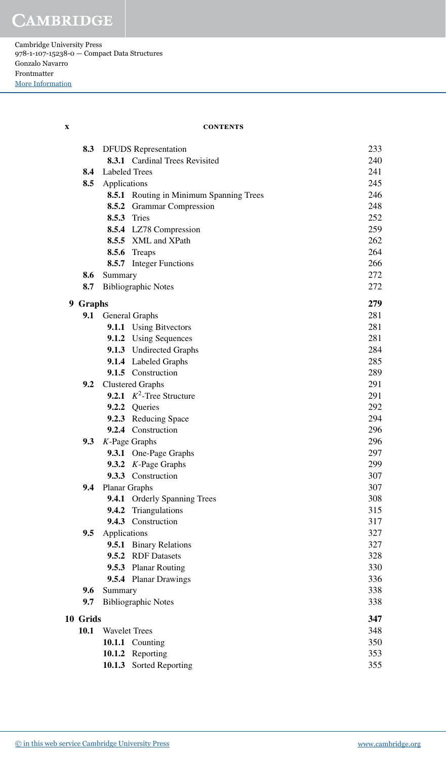Cambridge University Press 978-1-107-15238-0 — Compact Data Structures Gonzalo Navarro Frontmatter [More Information](www.cambridge.org/9781107152380)

| X | <b>CONTENTS</b> |
|---|-----------------|
|   |                 |

| 8.3      |                      | <b>DFUDS</b> Representation             | 233 |
|----------|----------------------|-----------------------------------------|-----|
|          |                      | 8.3.1 Cardinal Trees Revisited          | 240 |
| 8.4      | <b>Labeled Trees</b> |                                         | 241 |
| 8.5      | Applications         |                                         | 245 |
|          |                      | 8.5.1 Routing in Minimum Spanning Trees | 246 |
|          |                      | 8.5.2 Grammar Compression               | 248 |
|          |                      | <b>8.5.3</b> Tries                      | 252 |
|          |                      | 8.5.4 LZ78 Compression                  | 259 |
|          |                      | 8.5.5 XML and XPath                     | 262 |
|          |                      | 8.5.6 Treaps                            | 264 |
|          |                      | <b>8.5.7</b> Integer Functions          | 266 |
| 8.6      | Summary              |                                         | 272 |
| 8.7      |                      | <b>Bibliographic Notes</b>              | 272 |
| 9 Graphs |                      |                                         | 279 |
| 9.1      |                      | General Graphs                          | 281 |
|          |                      | 9.1.1 Using Bitvectors                  | 281 |
|          |                      | 9.1.2 Using Sequences                   | 281 |
|          |                      | 9.1.3 Undirected Graphs                 | 284 |
|          |                      | 9.1.4 Labeled Graphs                    | 285 |
|          |                      | 9.1.5 Construction                      | 289 |
| 9.2      |                      | <b>Clustered Graphs</b>                 | 291 |
|          |                      | 9.2.1 $K^2$ -Tree Structure             | 291 |
|          |                      | 9.2.2 Queries                           | 292 |
|          |                      | 9.2.3 Reducing Space                    | 294 |
|          |                      | 9.2.4 Construction                      | 296 |
| 9.3      |                      | $K$ -Page Graphs                        | 296 |
|          |                      | 9.3.1 One-Page Graphs                   | 297 |
|          |                      | 9.3.2 $K$ -Page Graphs                  | 299 |
|          |                      | 9.3.3 Construction                      | 307 |
| 9.4      | Planar Graphs        |                                         | 307 |
|          |                      | 9.4.1 Orderly Spanning Trees            | 308 |
|          |                      | 9.4.2 Triangulations                    | 315 |
|          |                      | 9.4.3 Construction                      | 317 |
| 9.5      | Applications         |                                         | 327 |
|          | 9.5.1                | <b>Binary Relations</b>                 | 327 |
|          | 9.5.2                | <b>RDF</b> Datasets                     | 328 |
|          | 9.5.3                | <b>Planar Routing</b>                   | 330 |
|          |                      | 9.5.4 Planar Drawings                   | 336 |
| 9.6      | Summary              |                                         | 338 |
| 9.7      |                      | <b>Bibliographic Notes</b>              | 338 |
| 10 Grids |                      | 347                                     |     |
| 10.1     | <b>Wavelet Trees</b> |                                         | 348 |
|          |                      | 10.1.1 Counting                         | 350 |
|          | 10.1.2               | Reporting                               | 353 |
|          |                      | 10.1.3 Sorted Reporting                 | 355 |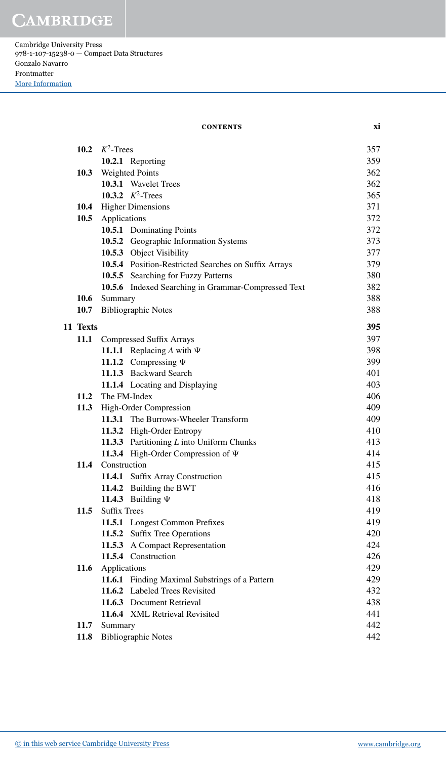Cambridge University Press 978-1-107-15238-0 — Compact Data Structures Gonzalo Navarro Frontmatter [More Information](www.cambridge.org/9781107152380)

#### **contents xi**

|          | 10.2 $K^2$ -Trees   |                                                      | 357 |
|----------|---------------------|------------------------------------------------------|-----|
|          |                     | 10.2.1 Reporting                                     | 359 |
|          |                     | 10.3 Weighted Points                                 | 362 |
|          |                     | 10.3.1 Wavelet Trees                                 | 362 |
|          |                     | 10.3.2 $K^2$ -Trees                                  | 365 |
|          |                     | 10.4 Higher Dimensions                               | 371 |
|          | 10.5 Applications   |                                                      | 372 |
|          |                     | 10.5.1 Dominating Points                             | 372 |
|          |                     | 10.5.2 Geographic Information Systems                | 373 |
|          |                     | 10.5.3 Object Visibility                             | 377 |
|          |                     | 10.5.4 Position-Restricted Searches on Suffix Arrays | 379 |
|          |                     | 10.5.5 Searching for Fuzzy Patterns                  | 380 |
|          |                     | 10.5.6 Indexed Searching in Grammar-Compressed Text  | 382 |
|          | 10.6 Summary        |                                                      | 388 |
| 10.7     |                     | <b>Bibliographic Notes</b>                           | 388 |
| 11 Texts |                     |                                                      | 395 |
|          |                     | 11.1 Compressed Suffix Arrays                        | 397 |
|          |                     | 11.1.1 Replacing A with $\Psi$                       | 398 |
|          |                     | 11.1.2 Compressing $\Psi$                            | 399 |
|          |                     | 11.1.3 Backward Search                               | 401 |
|          |                     | 11.1.4 Locating and Displaying                       | 403 |
| 11.2     | The FM-Index        |                                                      | 406 |
|          |                     | 11.3 High-Order Compression                          | 409 |
|          |                     | 11.3.1 The Burrows-Wheeler Transform                 | 409 |
|          |                     | 11.3.2 High-Order Entropy                            | 410 |
|          |                     | 11.3.3 Partitioning L into Uniform Chunks            | 413 |
|          |                     | 11.3.4 High-Order Compression of $\Psi$              | 414 |
| 11.4     | Construction        |                                                      | 415 |
|          |                     | 11.4.1 Suffix Array Construction                     | 415 |
|          |                     | 11.4.2 Building the BWT                              | 416 |
|          |                     | 11.4.3 Building $\Psi$                               | 418 |
| 11.5     | <b>Suffix Trees</b> |                                                      | 419 |
|          |                     | 11.5.1 Longest Common Prefixes                       | 419 |
|          |                     | 11.5.2 Suffix Tree Operations                        | 420 |
|          |                     | 11.5.3 A Compact Representation                      | 424 |
|          |                     | 11.5.4 Construction                                  | 426 |
| 11.6     | Applications        |                                                      | 429 |
|          |                     | 11.6.1 Finding Maximal Substrings of a Pattern       | 429 |
|          |                     | 11.6.2 Labeled Trees Revisited                       | 432 |
|          |                     | 11.6.3 Document Retrieval                            | 438 |
|          |                     | 11.6.4 XML Retrieval Revisited                       | 441 |
| 11.7     | Summary             |                                                      | 442 |
| 11.8     |                     | <b>Bibliographic Notes</b>                           | 442 |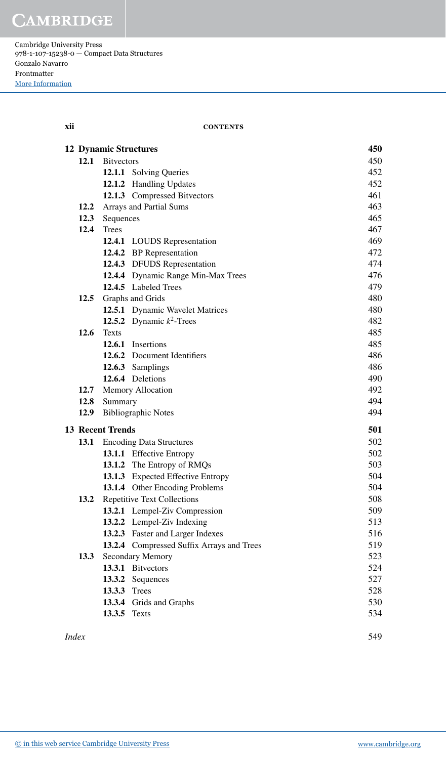Cambridge University Press 978-1-107-15238-0 — Compact Data Structures Gonzalo Navarro Frontmatter [More Information](www.cambridge.org/9781107152380)

### **xii contents**

|      |                         | <b>12 Dynamic Structures</b>              | 450 |
|------|-------------------------|-------------------------------------------|-----|
| 12.1 | <b>Bitvectors</b>       |                                           | 450 |
|      |                         | 12.1.1 Solving Queries                    | 452 |
|      |                         | 12.1.2 Handling Updates                   | 452 |
|      |                         | 12.1.3 Compressed Bitvectors              | 461 |
| 12.2 |                         | Arrays and Partial Sums                   | 463 |
| 12.3 | Sequences               |                                           | 465 |
| 12.4 | <b>Trees</b>            |                                           | 467 |
|      |                         | 12.4.1 LOUDS Representation               | 469 |
|      |                         | 12.4.2 BP Representation                  | 472 |
|      |                         | 12.4.3 DFUDS Representation               | 474 |
|      |                         | 12.4.4 Dynamic Range Min-Max Trees        | 476 |
|      |                         | 12.4.5 Labeled Trees                      | 479 |
| 12.5 |                         | Graphs and Grids                          | 480 |
|      |                         | 12.5.1 Dynamic Wavelet Matrices           | 480 |
|      |                         | 12.5.2 Dynamic $k^2$ -Trees               | 482 |
| 12.6 | <b>Texts</b>            |                                           | 485 |
|      |                         | 12.6.1 Insertions                         | 485 |
|      |                         | 12.6.2 Document Identifiers               | 486 |
|      |                         | 12.6.3 Samplings                          | 486 |
|      |                         | 12.6.4 Deletions                          | 490 |
|      |                         | 12.7 Memory Allocation                    | 492 |
| 12.8 | Summary                 |                                           | 494 |
| 12.9 |                         | <b>Bibliographic Notes</b>                | 494 |
|      | <b>13 Recent Trends</b> |                                           | 501 |
| 13.1 |                         | <b>Encoding Data Structures</b>           | 502 |
|      |                         | 13.1.1 Effective Entropy                  | 502 |
|      |                         | 13.1.2 The Entropy of RMQs                | 503 |
|      |                         | 13.1.3 Expected Effective Entropy         | 504 |
|      |                         | 13.1.4 Other Encoding Problems            | 504 |
| 13.2 |                         | <b>Repetitive Text Collections</b>        | 508 |
|      |                         | 13.2.1 Lempel-Ziv Compression             | 509 |
|      |                         | 13.2.2 Lempel-Ziv Indexing                | 513 |
|      |                         | 13.2.3 Faster and Larger Indexes          | 516 |
|      |                         | 13.2.4 Compressed Suffix Arrays and Trees | 519 |
| 13.3 |                         | Secondary Memory                          | 523 |
|      |                         | 13.3.1 Bitvectors                         | 524 |
|      | 13.3.2                  | Sequences                                 | 527 |
|      | 13.3.3 Trees            |                                           | 528 |
|      |                         | 13.3.4 Grids and Graphs                   | 530 |
|      | 13.3.5 Texts            |                                           | 534 |
|      |                         |                                           |     |

*Index* 549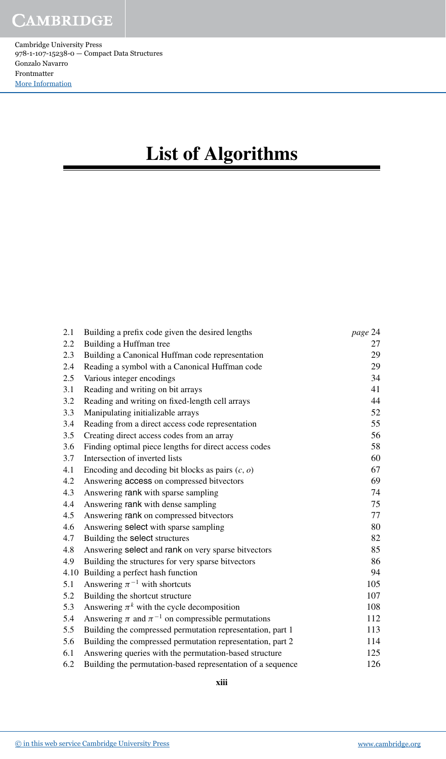# **List of Algorithms**

| 2.1 | Building a prefix code given the desired lengths            | page 24 |
|-----|-------------------------------------------------------------|---------|
| 2.2 | Building a Huffman tree                                     | 27      |
| 2.3 | Building a Canonical Huffman code representation            | 29      |
| 2.4 | Reading a symbol with a Canonical Huffman code              | 29      |
| 2.5 | Various integer encodings                                   | 34      |
| 3.1 | Reading and writing on bit arrays                           | 41      |
| 3.2 | Reading and writing on fixed-length cell arrays             | 44      |
| 3.3 | Manipulating initializable arrays                           | 52      |
| 3.4 | Reading from a direct access code representation            | 55      |
| 3.5 | Creating direct access codes from an array                  | 56      |
| 3.6 | Finding optimal piece lengths for direct access codes       | 58      |
| 3.7 | Intersection of inverted lists                              | 60      |
| 4.1 | Encoding and decoding bit blocks as pairs $(c, o)$          | 67      |
| 4.2 | Answering access on compressed bitvectors                   | 69      |
| 4.3 | Answering rank with sparse sampling                         | 74      |
| 4.4 | Answering rank with dense sampling                          | 75      |
| 4.5 | Answering rank on compressed bitvectors                     | 77      |
| 4.6 | Answering select with sparse sampling                       | 80      |
| 4.7 | Building the select structures                              | 82      |
| 4.8 | Answering select and rank on very sparse bitvectors         | 85      |
| 4.9 | Building the structures for very sparse bitvectors          | 86      |
|     | 4.10 Building a perfect hash function                       | 94      |
| 5.1 | Answering $\pi^{-1}$ with shortcuts                         | 105     |
| 5.2 | Building the shortcut structure                             | 107     |
| 5.3 | Answering $\pi^k$ with the cycle decomposition              | 108     |
| 5.4 | Answering $\pi$ and $\pi^{-1}$ on compressible permutations | 112     |
| 5.5 | Building the compressed permutation representation, part 1  | 113     |
| 5.6 | Building the compressed permutation representation, part 2  | 114     |
| 6.1 | Answering queries with the permutation-based structure      | 125     |
| 6.2 | Building the permutation-based representation of a sequence | 126     |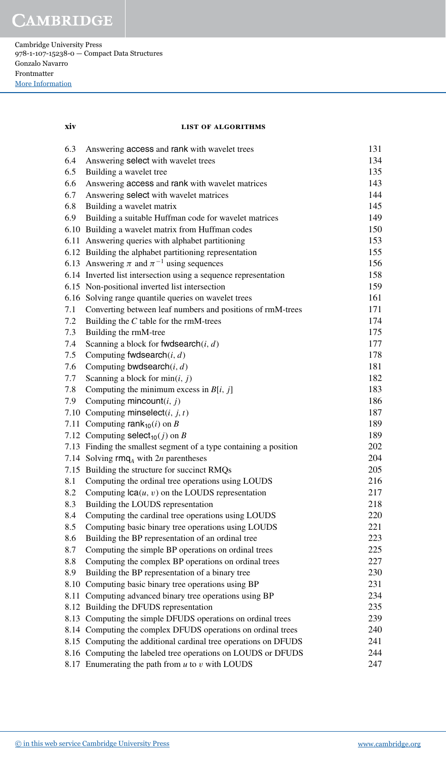Cambridge University Press 978-1-107-15238-0 — Compact Data Structures Gonzalo Navarro Frontmatter [More Information](www.cambridge.org/9781107152380)

#### **xiv list of algorithms**

| 6.3 | Answering access and rank with wavelet trees                      | 131 |
|-----|-------------------------------------------------------------------|-----|
| 6.4 | Answering select with wavelet trees                               | 134 |
| 6.5 | Building a wavelet tree                                           | 135 |
| 6.6 | Answering access and rank with wavelet matrices                   | 143 |
| 6.7 | Answering select with wavelet matrices                            | 144 |
| 6.8 | Building a wavelet matrix                                         | 145 |
| 6.9 | Building a suitable Huffman code for wavelet matrices             | 149 |
|     | 6.10 Building a wavelet matrix from Huffman codes                 | 150 |
|     | 6.11 Answering queries with alphabet partitioning                 | 153 |
|     | 6.12 Building the alphabet partitioning representation            | 155 |
|     | 6.13 Answering $\pi$ and $\pi^{-1}$ using sequences               | 156 |
|     | 6.14 Inverted list intersection using a sequence representation   | 158 |
|     | 6.15 Non-positional inverted list intersection                    | 159 |
|     | 6.16 Solving range quantile queries on wavelet trees              | 161 |
| 7.1 | Converting between leaf numbers and positions of rmM-trees        | 171 |
| 7.2 | Building the $C$ table for the rmM-trees                          | 174 |
| 7.3 | Building the rmM-tree                                             | 175 |
| 7.4 | Scanning a block for fwdsearch $(i, d)$                           | 177 |
| 7.5 | Computing fwdsearch $(i, d)$                                      | 178 |
| 7.6 | Computing bwdsearch $(i, d)$                                      | 181 |
| 7.7 | Scanning a block for $min(i, j)$                                  | 182 |
| 7.8 | Computing the minimum excess in $B[i, j]$                         | 183 |
| 7.9 | Computing mincount $(i, j)$                                       | 186 |
|     | 7.10 Computing minselect( <i>i</i> , <i>j</i> , <i>t</i> )        | 187 |
|     | 7.11 Computing rank $_{10}(i)$ on B                               | 189 |
|     | 7.12 Computing select <sub>10</sub> $(j)$ on B                    | 189 |
|     | 7.13 Finding the smallest segment of a type containing a position | 202 |
|     | 7.14 Solving $\text{rmq}_A$ with 2n parentheses                   | 204 |
|     | 7.15 Building the structure for succinct RMQs                     | 205 |
| 8.1 | Computing the ordinal tree operations using LOUDS                 | 216 |
| 8.2 | Computing $lca(u, v)$ on the LOUDS representation                 | 217 |
| 8.3 | Building the LOUDS representation                                 | 218 |
| 8.4 | Computing the cardinal tree operations using LOUDS                | 220 |
| 8.5 | Computing basic binary tree operations using LOUDS                | 221 |
| 8.6 | Building the BP representation of an ordinal tree                 | 223 |
| 8.7 | Computing the simple BP operations on ordinal trees               | 225 |
| 8.8 | Computing the complex BP operations on ordinal trees              | 227 |
| 8.9 | Building the BP representation of a binary tree                   | 230 |
|     | 8.10 Computing basic binary tree operations using BP              | 231 |
|     | 8.11 Computing advanced binary tree operations using BP           | 234 |
|     | 8.12 Building the DFUDS representation                            | 235 |
|     | 8.13 Computing the simple DFUDS operations on ordinal trees       | 239 |
|     | 8.14 Computing the complex DFUDS operations on ordinal trees      | 240 |
|     | 8.15 Computing the additional cardinal tree operations on DFUDS   | 241 |
|     | 8.16 Computing the labeled tree operations on LOUDS or DFUDS      | 244 |
|     | 8.17 Enumerating the path from $u$ to $v$ with LOUDS              | 247 |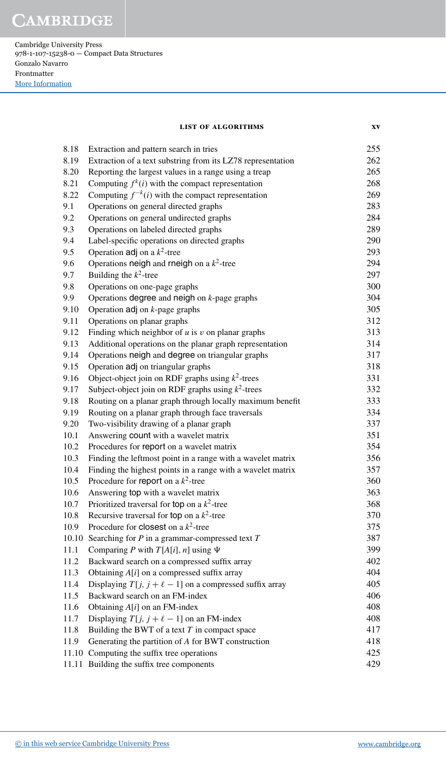Cambridge University Press 978-1-107-15238-0 — Compact Data Structures Gonzalo Navarro Frontmatter [More Information](www.cambridge.org/9781107152380)

|  | LIST OF ALGORITHMS |  |
|--|--------------------|--|
|  |                    |  |

| 8.18  | Extraction and pattern search in tries                       | 255 |
|-------|--------------------------------------------------------------|-----|
| 8.19  | Extraction of a text substring from its LZ78 representation  | 262 |
| 8.20  | Reporting the largest values in a range using a treap        | 265 |
| 8.21  | Computing $f^k(i)$ with the compact representation           | 268 |
| 8.22  | Computing $f^{-k}(i)$ with the compact representation        | 269 |
| 9.1   | Operations on general directed graphs                        | 283 |
| 9.2   | Operations on general undirected graphs                      | 284 |
| 9.3   | Operations on labeled directed graphs                        | 289 |
| 9.4   | Label-specific operations on directed graphs                 | 290 |
| 9.5   | Operation adj on a $k^2$ -tree                               | 293 |
| 9.6   | Operations neigh and rneigh on a $k^2$ -tree                 | 294 |
| 9.7   | Building the $k^2$ -tree                                     | 297 |
| 9.8   | Operations on one-page graphs                                | 300 |
| 9.9   | Operations degree and neigh on $k$ -page graphs              | 304 |
| 9.10  | Operation $\text{adj}$ on <i>k</i> -page graphs              | 305 |
| 9.11  | Operations on planar graphs                                  | 312 |
| 9.12  | Finding which neighbor of $u$ is $v$ on planar graphs        | 313 |
| 9.13  | Additional operations on the planar graph representation     | 314 |
| 9.14  | Operations neigh and degree on triangular graphs             | 317 |
| 9.15  | Operation adj on triangular graphs                           | 318 |
| 9.16  | Object-object join on RDF graphs using $k^2$ -trees          | 331 |
| 9.17  | Subject-object join on RDF graphs using $k^2$ -trees         | 332 |
| 9.18  | Routing on a planar graph through locally maximum benefit    | 333 |
| 9.19  | Routing on a planar graph through face traversals            | 334 |
| 9.20  | Two-visibility drawing of a planar graph                     | 337 |
| 10.1  | Answering count with a wavelet matrix                        | 351 |
| 10.2  | Procedures for report on a wavelet matrix                    | 354 |
| 10.3  | Finding the leftmost point in a range with a wavelet matrix  | 356 |
| 10.4  | Finding the highest points in a range with a wavelet matrix  | 357 |
| 10.5  | Procedure for report on a $k^2$ -tree                        | 360 |
| 10.6  | Answering top with a wavelet matrix                          | 363 |
| 10.7  | Prioritized traversal for top on a $k^2$ -tree               | 368 |
| 10.8  | Recursive traversal for top on a $k^2$ -tree                 | 370 |
| 10.9  | Procedure for <b>closest</b> on a $k^2$ -tree                | 375 |
| 10.10 | Searching for $P$ in a grammar-compressed text $T$           | 387 |
| 11.1  | Comparing P with $T[A[i], n]$ using $\Psi$                   | 399 |
| 11.2  | Backward search on a compressed suffix array                 | 402 |
| 11.3  | Obtaining $A[i]$ on a compressed suffix array                | 404 |
| 11.4  | Displaying $T[j, j + \ell - 1]$ on a compressed suffix array | 405 |
| 11.5  | Backward search on an FM-index                               | 406 |
| 11.6  | Obtaining $A[i]$ on an FM-index                              | 408 |
| 11.7  | Displaying $T[j, j + \ell - 1]$ on an FM-index               | 408 |
| 11.8  | Building the BWT of a text $T$ in compact space              | 417 |
| 11.9  | Generating the partition of A for BWT construction           | 418 |
|       | 11.10 Computing the suffix tree operations                   | 425 |
|       | 11.11 Building the suffix tree components                    | 429 |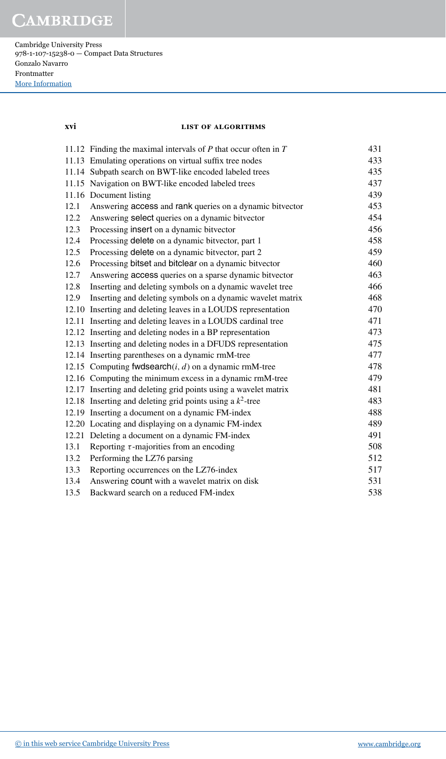Cambridge University Press 978-1-107-15238-0 — Compact Data Structures Gonzalo Navarro Frontmatter [More Information](www.cambridge.org/9781107152380)

### **xvi list of algorithms**

|      | 11.12 Finding the maximal intervals of $P$ that occur often in $T$ | 431 |
|------|--------------------------------------------------------------------|-----|
|      | 11.13 Emulating operations on virtual suffix tree nodes            | 433 |
|      | 11.14 Subpath search on BWT-like encoded labeled trees             | 435 |
|      | 11.15 Navigation on BWT-like encoded labeled trees                 | 437 |
|      | 11.16 Document listing                                             | 439 |
| 12.1 | Answering access and rank queries on a dynamic bitvector           | 453 |
| 12.2 | Answering select queries on a dynamic bitvector                    | 454 |
| 12.3 | Processing insert on a dynamic bitvector                           | 456 |
| 12.4 | Processing delete on a dynamic bitvector, part 1                   | 458 |
| 12.5 | Processing delete on a dynamic bitvector, part 2                   | 459 |
| 12.6 | Processing bitset and bitclear on a dynamic bitvector              | 460 |
| 12.7 | Answering access queries on a sparse dynamic bitvector             | 463 |
| 12.8 | Inserting and deleting symbols on a dynamic wavelet tree           | 466 |
| 12.9 | Inserting and deleting symbols on a dynamic wavelet matrix         | 468 |
|      | 12.10 Inserting and deleting leaves in a LOUDS representation      | 470 |
|      | 12.11 Inserting and deleting leaves in a LOUDS cardinal tree       | 471 |
|      | 12.12 Inserting and deleting nodes in a BP representation          | 473 |
|      | 12.13 Inserting and deleting nodes in a DFUDS representation       | 475 |
|      | 12.14 Inserting parentheses on a dynamic rmM-tree                  | 477 |
|      | 12.15 Computing fwdsearch $(i, d)$ on a dynamic rmM-tree           | 478 |
|      | 12.16 Computing the minimum excess in a dynamic rmM-tree           | 479 |
|      | 12.17 Inserting and deleting grid points using a wavelet matrix    | 481 |
|      | 12.18 Inserting and deleting grid points using a $k^2$ -tree       | 483 |
|      | 12.19 Inserting a document on a dynamic FM-index                   | 488 |
|      | 12.20 Locating and displaying on a dynamic FM-index                | 489 |
|      | 12.21 Deleting a document on a dynamic FM-index                    | 491 |
| 13.1 | Reporting $\tau$ -majorities from an encoding                      | 508 |
| 13.2 | Performing the LZ76 parsing                                        | 512 |
| 13.3 | Reporting occurrences on the LZ76-index                            | 517 |
| 13.4 | Answering count with a wavelet matrix on disk                      | 531 |
| 13.5 | Backward search on a reduced FM-index                              | 538 |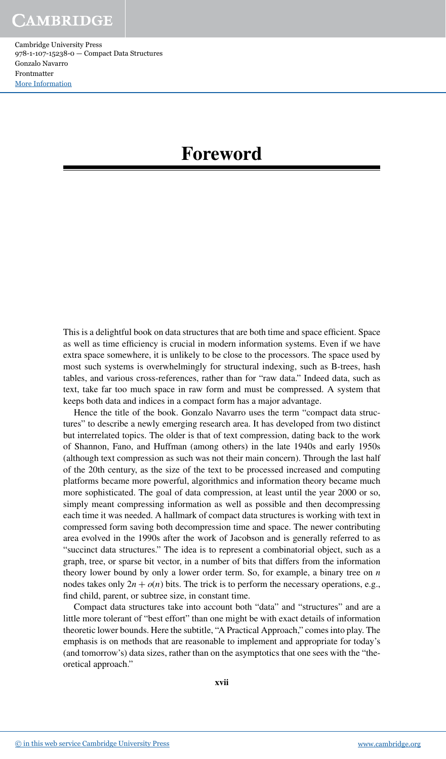### **Foreword**

This is a delightful book on data structures that are both time and space eficient. Space as well as time eficiency is crucial in modern information systems. Even if we have extra space somewhere, it is unlikely to be close to the processors. The space used by most such systems is overwhelmingly for structural indexing, such as B-trees, hash tables, and various cross-references, rather than for "raw data." Indeed data, such as text, take far too much space in raw form and must be compressed. A system that keeps both data and indices in a compact form has a major advantage.

Hence the title of the book. Gonzalo Navarro uses the term "compact data structures" to describe a newly emerging research area. It has developed from two distinct but interrelated topics. The older is that of text compression, dating back to the work of Shannon, Fano, and Huffman (among others) in the late 1940s and early 1950s (although text compression as such was not their main concern). Through the last half of the 20th century, as the size of the text to be processed increased and computing platforms became more powerful, algorithmics and information theory became much more sophisticated. The goal of data compression, at least until the year 2000 or so, simply meant compressing information as well as possible and then decompressing each time it was needed. A hallmark of compact data structures is working with text in compressed form saving both decompression time and space. The newer contributing area evolved in the 1990s after the work of Jacobson and is generally referred to as "succinct data structures." The idea is to represent a combinatorial object, such as a graph, tree, or sparse bit vector, in a number of bits that differs from the information theory lower bound by only a lower order term. So, for example, a binary tree on *n* nodes takes only  $2n + o(n)$  bits. The trick is to perform the necessary operations, e.g., find child, parent, or subtree size, in constant time.

Compact data structures take into account both "data" and "structures" and are a little more tolerant of "best effort" than one might be with exact details of information theoretic lower bounds. Here the subtitle, "A Practical Approach," comes into play. The emphasis is on methods that are reasonable to implement and appropriate for today's (and tomorrow's) data sizes, rather than on the asymptotics that one sees with the "theoretical approach."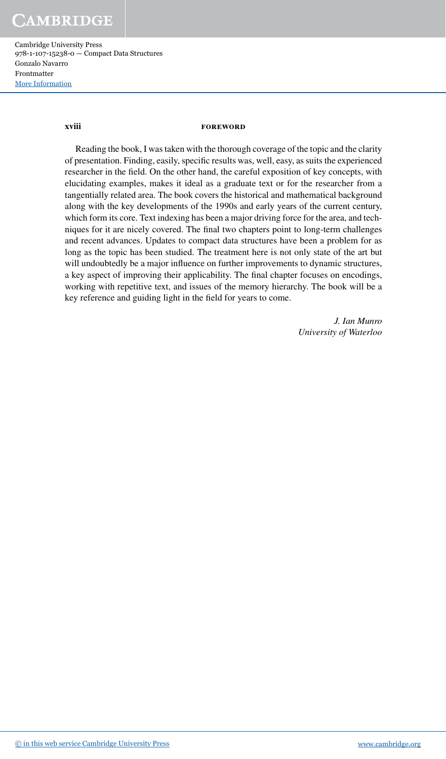Cambridge University Press 978-1-107-15238-0 — Compact Data Structures Gonzalo Navarro Frontmatter [More Information](www.cambridge.org/9781107152380)

#### **xviii foreword**

Reading the book, I was taken with the thorough coverage of the topic and the clarity of presentation. Finding, easily, speciic results was, well, easy, as suits the experienced researcher in the ield. On the other hand, the careful exposition of key concepts, with elucidating examples, makes it ideal as a graduate text or for the researcher from a tangentially related area. The book covers the historical and mathematical background along with the key developments of the 1990s and early years of the current century, which form its core. Text indexing has been a major driving force for the area, and techniques for it are nicely covered. The final two chapters point to long-term challenges and recent advances. Updates to compact data structures have been a problem for as long as the topic has been studied. The treatment here is not only state of the art but will undoubtedly be a major influence on further improvements to dynamic structures, a key aspect of improving their applicability. The inal chapter focuses on encodings, working with repetitive text, and issues of the memory hierarchy. The book will be a key reference and guiding light in the field for years to come.

> *J. Ian Munro University of Waterloo*